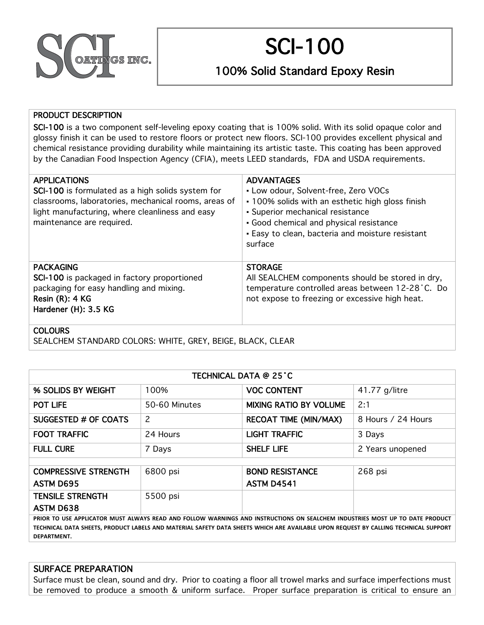

# SCI-100

100% Solid Standard Epoxy Resin

#### PRODUCT DESCRIPTION

SCI-100 is a two component self-leveling epoxy coating that is 100% solid. With its solid opaque color and glossy finish it can be used to restore floors or protect new floors. SCI-100 provides excellent physical and chemical resistance providing durability while maintaining its artistic taste. This coating has been approved by the Canadian Food Inspection Agency (CFIA), meets LEED standards, FDA and USDA requirements.

| <b>APPLICATIONS</b><br>SCI-100 is formulated as a high solids system for<br>classrooms, laboratories, mechanical rooms, areas of<br>light manufacturing, where cleanliness and easy | <b>ADVANTAGES</b><br>• Low odour, Solvent-free, Zero VOCs<br>• 100% solids with an esthetic high gloss finish<br>• Superior mechanical resistance |
|-------------------------------------------------------------------------------------------------------------------------------------------------------------------------------------|---------------------------------------------------------------------------------------------------------------------------------------------------|
| maintenance are required.                                                                                                                                                           | Good chemical and physical resistance                                                                                                             |
|                                                                                                                                                                                     | • Easy to clean, bacteria and moisture resistant                                                                                                  |
|                                                                                                                                                                                     | surface                                                                                                                                           |
| <b>PACKAGING</b>                                                                                                                                                                    | <b>STORAGE</b>                                                                                                                                    |
| SCI-100 is packaged in factory proportioned                                                                                                                                         | All SEALCHEM components should be stored in dry,                                                                                                  |
| packaging for easy handling and mixing.                                                                                                                                             | temperature controlled areas between 12-28 °C. Do                                                                                                 |
| Resin $(R)$ : 4 KG                                                                                                                                                                  | not expose to freezing or excessive high heat.                                                                                                    |
| Hardener (H): 3.5 KG                                                                                                                                                                |                                                                                                                                                   |
|                                                                                                                                                                                     |                                                                                                                                                   |

**COLOURS** 

SEALCHEM STANDARD COLORS: WHITE, GREY, BEIGE, BLACK, CLEAR

| TECHNICAL DATA @ 25 °C                                                                                                                                                                                                                                                             |               |                               |                    |
|------------------------------------------------------------------------------------------------------------------------------------------------------------------------------------------------------------------------------------------------------------------------------------|---------------|-------------------------------|--------------------|
| % SOLIDS BY WEIGHT                                                                                                                                                                                                                                                                 | 100%          | <b>VOC CONTENT</b>            | 41.77 g/litre      |
| <b>POT LIFE</b>                                                                                                                                                                                                                                                                    | 50-60 Minutes | <b>MIXING RATIO BY VOLUME</b> | 2:1                |
| SUGGESTED # OF COATS                                                                                                                                                                                                                                                               | 2             | <b>RECOAT TIME (MIN/MAX)</b>  | 8 Hours / 24 Hours |
| <b>FOOT TRAFFIC</b>                                                                                                                                                                                                                                                                | 24 Hours      | <b>LIGHT TRAFFIC</b>          | 3 Days             |
| <b>FULL CURE</b>                                                                                                                                                                                                                                                                   | 7 Days        | <b>SHELF LIFE</b>             | 2 Years unopened   |
|                                                                                                                                                                                                                                                                                    |               |                               |                    |
| <b>COMPRESSIVE STRENGTH</b>                                                                                                                                                                                                                                                        | 6800 psi      | <b>BOND RESISTANCE</b>        | 268 psi            |
| <b>ASTM D695</b>                                                                                                                                                                                                                                                                   |               | <b>ASTM D4541</b>             |                    |
| <b>TENSILE STRENGTH</b>                                                                                                                                                                                                                                                            | 5500 psi      |                               |                    |
| <b>ASTM D638</b>                                                                                                                                                                                                                                                                   |               |                               |                    |
| PRIOR TO USE APPLICATOR MUST ALWAYS READ AND FOLLOW WARNINGS AND INSTRUCTIONS ON SEALCHEM INDUSTRIES MOST UP TO DATE PRODUCT<br>TECHNICAL DATA SHEETS, PRODUCT LABELS AND MATERIAL SAFETY DATA SHEETS WHICH ARE AVAILABLE UPON REQUEST BY CALLING TECHNICAL SUPPORT<br>DEPARTMENT. |               |                               |                    |

#### SURFACE PREPARATION

Surface must be clean, sound and dry. Prior to coating a floor all trowel marks and surface imperfections must be removed to produce a smooth & uniform surface. Proper surface preparation is critical to ensure an